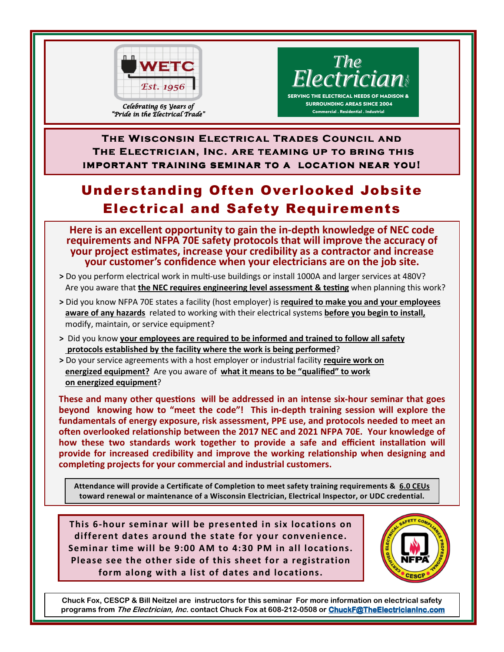

"Pride in the Electrical Trade"

The<br>Electrician:

**SERVING THE ELECTRICAL NEEDS OF MADISON & SURROUNDING AREAS SINCE 2004 Commercial . Residential . Industrial** 

**THE WISCONSIN ELECTRICAL TRADES COUNCIL AND The Electrician, Inc. are teaming up to bring this The Electrician, Inc. are teaming up to bring this important training seminar to a location near you!** 

## Understanding Often Overlooked Jobsite Electrical and Safety Requirements

**Here is an excellent opportunity to gain the in-depth knowledge of NEC code requirements and NFPA 70E safety protocols that will improve the accuracy of your project estimates, increase your credibility as a contractor and increase your customer's confidence when your electricians are on the job site.** 

- > Do you perform electrical work in multi-use buildings or install 1000A and larger services at 480V? Are you aware that the NEC requires engineering level assessment & testing when planning this work?
- **>** Did you know NFPA 70E states a facility (host employer) is **required to make you and your employees aware of any hazards** related to working with their electrical systems **before you begin to install,** modify, maintain, or service equipment?
- **>** Did you know **your employees are required to be informed and trained to follow all safety protocols established by the facility where the work is being performed**?
- **>** Do your service agreements with a host employer or industrial facility **require work on energized equipment?** Are you aware of **what it means to be "qualified" to work on energized equipment**?

**These and many other questions will be addressed in an intense six-hour seminar that goes beyond knowing how to "meet the code"! This in-depth training session will explore the fundamentals of energy exposure, risk assessment, PPE use, and protocols needed to meet an**  often overlooked relationship between the 2017 NEC and 2021 NFPA 70E. Your knowledge of how these two standards work together to provide a safe and efficient installation will **provide for increased credibility and improve the working relationship when designing and completing projects for your commercial and industrial customers.** 

**Attendance will provide a Certificate of Completion to meet safety training requirements & 6.0 CEUs toward renewal or maintenance of a Wisconsin Electrician, Electrical Inspector, or UDC credential.** 

**This 6-hour seminar will be presented in six locations on different dates around the state for your convenience. Seminar time will be 9:00 AM to 4:30 PM in all locations. Please see the other side of this sheet for a registration form along with a list of dates and locations.** 



**Chuck Fox, CESCP & Bill Neitzel are instructors for this seminar For more information on electrical safety programs from The Electrician, Inc. contact Chuck Fox at 608-212-0508 or ChuckF@TheElectricianInc.com**